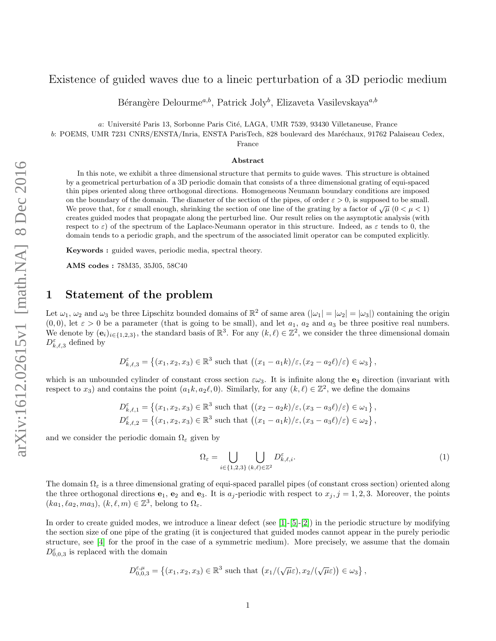## Existence of guided waves due to a lineic perturbation of a 3D periodic medium

Bérangère Delourme<sup>a,b</sup>, Patrick Joly<sup>b</sup>, Elizaveta Vasilevskaya<sup>a,b</sup>

a: Université Paris 13, Sorbonne Paris Cité, LAGA, UMR 7539, 93430 Villetaneuse, France

b: POEMS, UMR 7231 CNRS/ENSTA/Inria, ENSTA ParisTech, 828 boulevard des Maréchaux, 91762 Palaiseau Cedex,

France

#### Abstract

In this note, we exhibit a three dimensional structure that permits to guide waves. This structure is obtained by a geometrical perturbation of a 3D periodic domain that consists of a three dimensional grating of equi-spaced thin pipes oriented along three orthogonal directions. Homogeneous Neumann boundary conditions are imposed on the boundary of the domain. The diameter of the section of the pipes, of order  $\varepsilon > 0$ , is supposed to be small. We prove that, for  $\varepsilon$  small enough, shrinking the section of one line of the grating by a factor of  $\sqrt{\mu}$  (0 <  $\mu$  < 1) creates guided modes that propagate along the perturbed line. Our result relies on the asymptotic analysis (with respect to  $\varepsilon$ ) of the spectrum of the Laplace-Neumann operator in this structure. Indeed, as  $\varepsilon$  tends to 0, the domain tends to a periodic graph, and the spectrum of the associated limit operator can be computed explicitly.

Keywords : guided waves, periodic media, spectral theory.

AMS codes : 78M35, 35J05, 58C40

#### 1 Statement of the problem

Let  $\omega_1, \omega_2$  and  $\omega_3$  be three Lipschitz bounded domains of  $\mathbb{R}^2$  of same area  $(|\omega_1| = |\omega_2| = |\omega_3|)$  containing the origin  $(0, 0)$ , let  $\varepsilon > 0$  be a parameter (that is going to be small), and let  $a_1$ ,  $a_2$  and  $a_3$  be three positive real numbers. We denote by  $(e_i)_{i\in\{1,2,3\}}$ , the standard basis of  $\mathbb{R}^3$ . For any  $(k,\ell)\in\mathbb{Z}^2$ , we consider the three dimensional domain  $D_{k,\ell,3}^{\varepsilon}$  defined by

$$
D_{k,\ell,3}^{\varepsilon} = \left\{ (x_1, x_2, x_3) \in \mathbb{R}^3 \text{ such that } \left( (x_1 - a_1 k)/\varepsilon, (x_2 - a_2 \ell)/\varepsilon \right) \in \omega_3 \right\},\
$$

which is an unbounded cylinder of constant cross section  $\epsilon\omega_3$ . It is infinite along the  $\mathbf{e}_3$  direction (invariant with respect to  $x_3$ ) and contains the point  $(a_1 k, a_2 \ell, 0)$ . Similarly, for any  $(k, \ell) \in \mathbb{Z}^2$ , we define the domains

$$
D_{k,\ell,1}^{\varepsilon} = \left\{ (x_1, x_2, x_3) \in \mathbb{R}^3 \text{ such that } \left( (x_2 - a_2 k)/\varepsilon, (x_3 - a_3 \ell)/\varepsilon \right) \in \omega_1 \right\},
$$
  

$$
D_{k,\ell,2}^{\varepsilon} = \left\{ (x_1, x_2, x_3) \in \mathbb{R}^3 \text{ such that } \left( (x_1 - a_1 k)/\varepsilon, (x_3 - a_3 \ell)/\varepsilon \right) \in \omega_2 \right\},
$$

and we consider the periodic domain  $\Omega_{\varepsilon}$  given by

$$
\Omega_{\varepsilon} = \bigcup_{i \in \{1,2,3\}} \bigcup_{(k,\ell) \in \mathbb{Z}^2} D_{k,\ell,i}^{\varepsilon}.
$$
\n(1)

The domain  $\Omega_{\varepsilon}$  is a three dimensional grating of equi-spaced parallel pipes (of constant cross section) oriented along the three orthogonal directions  $e_1$ ,  $e_2$  and  $e_3$ . It is  $a_j$ -periodic with respect to  $x_j$ ,  $j = 1, 2, 3$ . Moreover, the points  $(ka_1, la_2, ma_3), (k, \ell, m) \in \mathbb{Z}^3$ , belong to  $\Omega_{\varepsilon}$ .

In order to create guided modes, we introduce a linear defect (see [\[1\]](#page-4-0)-[\[5\]](#page-5-0)-[\[2\]](#page-4-1)) in the periodic structure by modifying the section size of one pipe of the grating (it is conjectured that guided modes cannot appear in the purely periodic structure, see [\[4\]](#page-4-2) for the proof in the case of a symmetric medium). More precisely, we assume that the domain  $D_{0,0,3}^{\varepsilon}$  is replaced with the domain

$$
D_{0,0,3}^{\varepsilon,\mu} = \left\{ (x_1, x_2, x_3) \in \mathbb{R}^3 \text{ such that } \left( x_1/(\sqrt{\mu \varepsilon}), x_2/(\sqrt{\mu \varepsilon}) \right) \in \omega_3 \right\},\
$$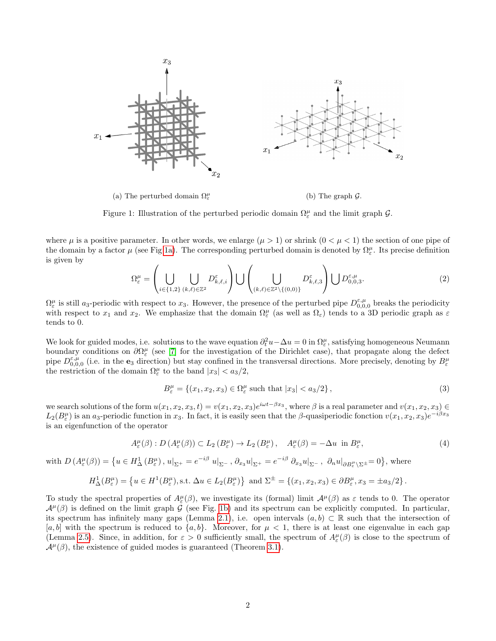<span id="page-1-0"></span>

Figure 1: Illustration of the perturbed periodic domain  $\Omega_{\varepsilon}^{\mu}$  and the limit graph  $\mathcal{G}$ .

where  $\mu$  is a positive parameter. In other words, we enlarge  $(\mu > 1)$  or shrink  $(0 < \mu < 1)$  the section of one pipe of the domain by a factor  $\mu$  (see Fig [1a\)](#page-1-0). The corresponding perturbed domain is denoted by  $\Omega^{\mu}_{\varepsilon}$ . Its precise definition is given by

$$
\Omega_{\varepsilon}^{\mu} = \left(\bigcup_{i \in \{1,2\}} \bigcup_{(k,\ell) \in \mathbb{Z}^2} D_{k,\ell,i}^{\varepsilon}\right) \bigcup \left(\bigcup_{(k,\ell) \in \mathbb{Z}^2 \setminus \{(0,0)\}} D_{k,\ell,3}^{\varepsilon}\right) \bigcup D_{0,0,3}^{\varepsilon,\mu}.
$$
\n(2)

 $\Omega_{\varepsilon}^{\mu}$  is still a<sub>3</sub>-periodic with respect to  $x_3$ . However, the presence of the perturbed pipe  $D_{0,0,0}^{\varepsilon,\mu}$  breaks the periodicity with respect to  $x_1$  and  $x_2$ . We emphasize that the domain  $\Omega_{\varepsilon}^{\mu}$  (as well as  $\Omega_{\varepsilon}$ ) tends to a 3D periodic graph as  $\varepsilon$ tends to 0.

We look for guided modes, i.e. solutions to the wave equation  $\partial_t^2 u - \Delta u = 0$  in  $\Omega_\varepsilon^\mu$ , satisfying homogeneous Neumann boundary conditions on  $\partial\Omega_{\varepsilon}^{\mu}$  (see [\[7\]](#page-5-1) for the investigation of the Dirichlet case), that propagate along the defect pipe  $D_{0,0,0}^{\varepsilon,\mu}$  (i.e. in the e<sub>3</sub> direction) but stay confined in the transversal directions. More precisely, denoting by  $B_{\varepsilon}^{\mu}$ the restriction of the domain  $\Omega_{\varepsilon}^{\mu}$  to the band  $|x_3| < a_3/2$ ,

$$
B_{\varepsilon}^{\mu} = \left\{ (x_1, x_2, x_3) \in \Omega_{\varepsilon}^{\mu} \text{ such that } |x_3| < a_3/2 \right\},\tag{3}
$$

we search solutions of the form  $u(x_1, x_2, x_3, t) = v(x_1, x_2, x_3)e^{i\omega t - \beta x_3}$ , where  $\beta$  is a real parameter and  $v(x_1, x_2, x_3) \in$  $L_2(B_\varepsilon^\mu)$  is an a<sub>3</sub>-periodic function in  $x_3$ . In fact, it is easily seen that the β-quasiperiodic fonction  $v(x_1, x_2, x_3)e^{-i\beta x_3}$ is an eigenfunction of the operator

<span id="page-1-1"></span>
$$
A^{\mu}_{\varepsilon}(\beta) : D(A^{\mu}_{\varepsilon}(\beta)) \subset L_2(B^{\mu}_{\varepsilon}) \to L_2(B^{\mu}_{\varepsilon}), \quad A^{\mu}_{\varepsilon}(\beta) = -\Delta u \text{ in } B^{\mu}_{\varepsilon}, \tag{4}
$$

with  $D(A^{\mu}_{\varepsilon}(\beta)) = \{u \in H_{\Delta}^1(B^{\mu}_{\varepsilon}), u|_{\Sigma^+} = e^{-i\beta} u|_{\Sigma^-}, \partial_{x_3} u|_{\Sigma^+} = e^{-i\beta} \partial_{x_3} u|_{\Sigma^-}, \partial_n u|_{\partial B^{\mu}_{\varepsilon} \setminus \Sigma^{\pm}} = 0\},\$  where

$$
H^1_\Delta(B^\mu_\varepsilon)=\left\{u\in H^1(B^\mu_\varepsilon), \text{s.t. }\Delta u\in L_2(B^\mu_\varepsilon)\right\}\text{ and }\Sigma^\pm=\left\{(x_1,x_2,x_3)\in\partial B^\mu_\varepsilon,x_3=\pm a_3/2\right\}.
$$

To study the spectral properties of  $A_{\varepsilon}^{\mu}(\beta)$ , we investigate its (formal) limit  $A^{\mu}(\beta)$  as  $\varepsilon$  tends to 0. The operator  $\mathcal{A}^{\mu}(\beta)$  is defined on the limit graph G (see Fig. [1b\)](#page-1-0) and its spectrum can be explicitly computed. In particular, its spectrum has infinitely many gaps (Lemma [2.1\)](#page-2-0), i.e. open intervals  $(a, b) \subset \mathbb{R}$  such that the intersection of [a, b] with the spectrum is reduced to  $\{a, b\}$ . Moreover, for  $\mu < 1$ , there is at least one eigenvalue in each gap (Lemma [2.5\)](#page-4-3). Since, in addition, for  $\varepsilon > 0$  sufficiently small, the spectrum of  $A_{\varepsilon}^{\mu}(\beta)$  is close to the spectrum of  $\mathcal{A}^{\mu}(\beta)$ , the existence of guided modes is guaranteed (Theorem [3.1\)](#page-4-4).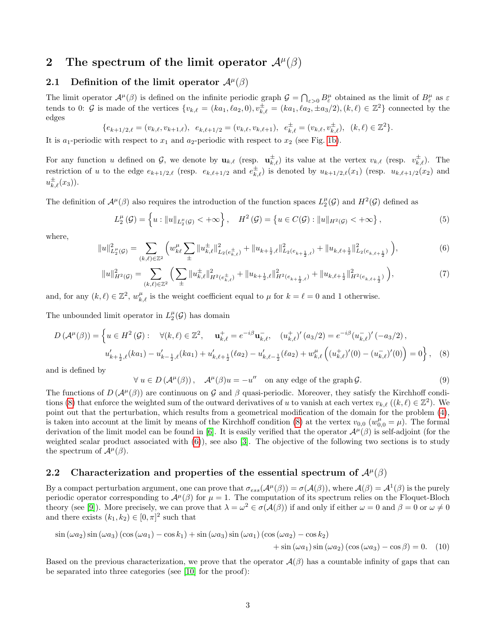## 2 The spectrum of the limit operator  $\mathcal{A}^{\mu}(\beta)$

### 2.1 Definition of the limit operator  $\mathcal{A}^{\mu}(\beta)$

The limit operator  $\mathcal{A}^{\mu}(\beta)$  is defined on the infinite periodic graph  $\mathcal{G} = \bigcap_{\varepsilon>0} B_{\varepsilon}^{\mu}$  obtained as the limit of  $B_{\varepsilon}^{\mu}$  as  $\varepsilon$ tends to 0:  $\mathcal G$  is made of the vertices  $\{v_{k,\ell} = (ka_1, \ell a_2, 0), v_{k,\ell}^{\pm} = (ka_1, \ell a_2, \pm a_3/2), (k,\ell) \in \mathbb Z^2\}$  connected by the edges

$$
\{e_{k+1/2,\ell}=(v_{k,\ell},v_{k+1,\ell}),\;\; e_{k,\ell+1/2}=(v_{k,\ell},v_{k,\ell+1}),\;\; e_{k,\ell}^{\pm}=(v_{k,\ell},v_{k,\ell}^{\pm}),\;\; (k,\ell)\in\mathbb{Z}^2\}.
$$

It is  $a_1$ -periodic with respect to  $x_1$  and  $a_2$ -periodic with respect to  $x_2$  (see Fig. [1b\)](#page-1-0).

For any function u defined on G, we denote by  $\mathbf{u}_{k,\ell}$  (resp.  $\mathbf{u}_{k,\ell}^{\pm}$ ) its value at the vertex  $v_{k,\ell}$  (resp.  $v_{k,\ell}^{\pm}$ ). The restriction of u to the edge  $e_{k+1/2,\ell}$  (resp.  $e_{k,\ell+1/2}$  and  $e_{k,\ell}^{\pm}$ ) is denoted by  $u_{k+1/2,\ell}(x_1)$  (resp.  $u_{k,\ell+1/2}(x_2)$  and  $u_{k,\ell}^{\pm}(x_3)$ ).

The definition of  $\mathcal{A}^{\mu}(\beta)$  also requires the introduction of the function spaces  $L_2^{\mu}(\mathcal{G})$  and  $H^2(\mathcal{G})$  defined as

$$
L_2^{\mu}(\mathcal{G}) = \left\{ u : ||u||_{L_2^{\mu}(\mathcal{G})} < +\infty \right\}, \quad H^2(\mathcal{G}) = \left\{ u \in C(\mathcal{G}) : ||u||_{H^2(\mathcal{G})} < +\infty \right\},\tag{5}
$$

where,

<span id="page-2-2"></span>
$$
||u||_{L_2^{\mu}(\mathcal{G})}^2 = \sum_{(k,\ell)\in\mathbb{Z}^2} \left( w_{k\ell}^{\mu} \sum_{\pm} ||u_{k,\ell}^{\pm}||_{L_2(e_{k,\ell}^{\pm})}^2 + ||u_{k+\frac{1}{2},\ell}||_{L_2(e_{k+\frac{1}{2},\ell})}^2 + ||u_{k,\ell+\frac{1}{2}}||_{L_2(e_{k,\ell+\frac{1}{2}})}^2 \right),
$$
(6)

$$
||u||_{H^{2}(\mathcal{G})}^{2} = \sum_{(k,\ell)\in\mathbb{Z}^{2}} \left( \sum_{\pm} ||u_{k,\ell}^{\pm}||_{H^{2}(e_{k,\ell}^{\pm})}^{2} + ||u_{k+\frac{1}{2},\ell}||_{H^{2}(e_{k+\frac{1}{2},\ell})}^{2} + ||u_{k,\ell+\frac{1}{2}}||_{H^{2}(e_{k,\ell+\frac{1}{2}})}^{2} \right),
$$
\n<sup>(7)</sup>

and, for any  $(k, \ell) \in \mathbb{Z}^2$ ,  $w_{k, \ell}^{\mu}$  is the weight coefficient equal to  $\mu$  for  $k = \ell = 0$  and 1 otherwise.

The unbounded limit operator in  $L_2^{\mu}(\mathcal{G})$  has domain

 $\forall$ 

$$
D\left(\mathcal{A}^{\mu}(\beta)\right) = \left\{ u \in H^{2}\left(\mathcal{G}\right): \quad \forall (k,\ell) \in \mathbb{Z}^{2}, \quad \mathbf{u}_{k,\ell}^{+} = e^{-i\beta} \mathbf{u}_{k,\ell}^{-}, \quad (u_{k,\ell}^{+})'(a_{3}/2) = e^{-i\beta} (u_{k,\ell}^{-})'(-a_{3}/2), \quad u'_{k+\frac{1}{2},\ell}(ka_{1}) - u'_{k-\frac{1}{2},\ell}(ka_{1}) + u'_{k,\ell+\frac{1}{2}}(la_{2}) - u'_{k,\ell-\frac{1}{2}}(la_{2}) + w_{k,\ell}^{\mu}\left((u_{k,\ell}^{+})'(0) - (u_{k,\ell}^{-})'(0)\right) = 0 \right\}, \quad (8)
$$

and is defined by

<span id="page-2-3"></span><span id="page-2-1"></span>
$$
u \in D(\mathcal{A}^{\mu}(\beta)), \quad \mathcal{A}^{\mu}(\beta)u = -u''
$$
 on any edge of the graph  $\mathcal{G}$ . (9)

The functions of  $D(\mathcal{A}^{\mu}(\beta))$  are continuous on G and  $\beta$  quasi-periodic. Moreover, they satisfy the Kirchhoff condi-tions [\(8\)](#page-2-1) that enforce the weighted sum of the outward derivatives of u to vanish at each vertex  $v_{k,\ell}$  ( $(k,\ell) \in \mathbb{Z}^2$ ). We point out that the perturbation, which results from a geometrical modification of the domain for the problem [\(4\)](#page-1-1), is taken into account at the limit by means of the Kirchhoff condition [\(8\)](#page-2-1) at the vertex  $v_{0,0}$  ( $w_{0,0}^{\mu} = \mu$ ). The formal derivation of the limit model can be found in [\[6\]](#page-5-2). It is easily verified that the operator  $\mathcal{A}^{\mu}(\beta)$  is self-adjoint (for the weighted scalar product associated with [\(6\)](#page-2-2)), see also [\[3\]](#page-4-5). The objective of the following two sections is to study the spectrum of  $\mathcal{A}^{\mu}(\beta)$ .

### 2.2 Characterization and properties of the essential spectrum of  $\mathcal{A}^{\mu}(\beta)$

By a compact perturbation argument, one can prove that  $\sigma_{ess}(\mathcal{A}^{\mu}(\beta)) = \sigma(\mathcal{A}(\beta))$ , where  $\mathcal{A}(\beta) = \mathcal{A}^{1}(\beta)$  is the purely periodic operator corresponding to  $\mathcal{A}^{\mu}(\beta)$  for  $\mu = 1$ . The computation of its spectrum relies on the Floquet-Bloch theory (see [\[9\]](#page-5-3)). More precisely, we can prove that  $\lambda = \omega^2 \in \sigma(\mathcal{A}(\beta))$  if and only if either  $\omega = 0$  and  $\beta = 0$  or  $\omega \neq 0$ and there exists  $(k_1, k_2) \in [0, \pi]^2$  such that

$$
\sin(\omega a_2) \sin(\omega a_3) (\cos(\omega a_1) - \cos k_1) + \sin(\omega a_3) \sin(\omega a_1) (\cos(\omega a_2) - \cos k_2)
$$
  
+ 
$$
\sin(\omega a_1) \sin(\omega a_2) (\cos(\omega a_3) - \cos \beta) = 0.
$$
 (10)

<span id="page-2-0"></span>Based on the previous characterization, we prove that the operator  $\mathcal{A}(\beta)$  has a countable infinity of gaps that can be separated into three categories (see [\[10\]](#page-5-4) for the proof):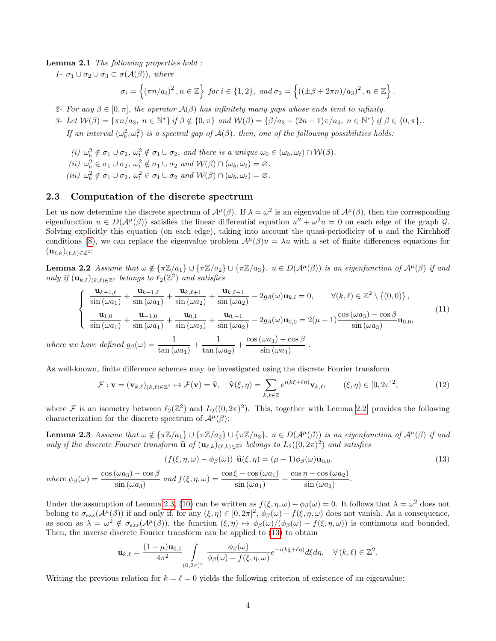Lemma 2.1 The following properties hold :

1-  $\sigma_1 \cup \sigma_2 \cup \sigma_3 \subset \sigma(\mathcal{A}(\beta))$ , where

$$
\sigma_i = \left\{ (\pi n/a_i)^2 \,, n \in \mathbb{Z} \right\} \text{ for } i \in \{1,2\}, \text{ and } \sigma_3 = \left\{ \left( (\pm \beta + 2\pi n)/a_3 \right)^2, n \in \mathbb{Z} \right\}.
$$

2- For any  $\beta \in [0, \pi]$ , the operator  $\mathcal{A}(\beta)$  has infinitely many gaps whose ends tend to infinity.

3- Let  $W(\beta) = {\pi n/a_3, n \in \mathbb{N}^*} \text{ if } \beta \notin \{0, \pi\} \text{ and } W(\beta) = {\beta/a_3 + (2n+1)\pi/a_3, n \in \mathbb{N}^*} \text{ if } \beta \in \{0, \pi\}.$ 

If an interval  $(\omega_b^2, \omega_t^2)$  is a spectral gap of  $\mathcal{A}(\beta)$ , then, one of the following possibilities holds:

- (i)  $\omega_b^2 \notin \sigma_1 \cup \sigma_2$ ,  $\omega_t^2 \notin \sigma_1 \cup \sigma_2$ , and there is a unique  $\omega_0 \in (\omega_b, \omega_t) \cap \mathcal{W}(\beta)$ .
- (ii)  $\omega_b^2 \in \sigma_1 \cup \sigma_2$ ,  $\omega_t^2 \notin \sigma_1 \cup \sigma_2$  and  $\mathcal{W}(\beta) \cap (\omega_b, \omega_t) = \varnothing$ .
- (iii)  $\omega_b^2 \notin \sigma_1 \cup \sigma_2$ ,  $\omega_t^2 \in \sigma_1 \cup \sigma_2$  and  $\mathcal{W}(\beta) \cap (\omega_b, \omega_t) = \varnothing$ .

#### 2.3 Computation of the discrete spectrum

Let us now determine the discrete spectrum of  $\mathcal{A}^{\mu}(\beta)$ . If  $\lambda = \omega^2$  is an eigenvalue of  $\mathcal{A}^{\mu}(\beta)$ , then the corresponding eigenfunction  $u \in D(\mathcal{A}^{\mu}(\beta))$  satisfies the linear differential equation  $u'' + \omega^2 u = 0$  on each edge of the graph  $\mathcal{G}$ . Solving explicitly this equation (on each edge), taking into account the quasi-periodicity of u and the Kirchhoff conditions [\(8\)](#page-2-1), we can replace the eigenvalue problem  $\mathcal{A}^{\mu}(\beta)u = \lambda u$  with a set of finite differences equations for  $(\mathbf{u}_{\ell,k})_{(\ell,k)\in\mathbb{Z}^2}$ :

<span id="page-3-0"></span>**Lemma 2.2** Assume that  $\omega \notin \{\pi \mathbb{Z}/a_1\} \cup \{\pi \mathbb{Z}/a_2\} \cup \{\pi \mathbb{Z}/a_3\}$ .  $u \in D(\mathcal{A}^{\mu}(\beta))$  is an eigenfunction of  $\mathcal{A}^{\mu}(\beta)$  if and only if  $(\mathbf{u}_{k,\ell})_{(k,\ell)\in\mathbb{Z}^2}$  belongs to  $\ell_2(\mathbb{Z}^2)$  and satisfies

$$
\begin{cases}\n\frac{\mathbf{u}_{k+1,\ell}}{\sin(\omega a_1)} + \frac{\mathbf{u}_{k-1,\ell}}{\sin(\omega a_1)} + \frac{\mathbf{u}_{k,\ell+1}}{\sin(\omega a_2)} + \frac{\mathbf{u}_{k,\ell-1}}{\sin(\omega a_2)} - 2g_{\beta}(\omega)\mathbf{u}_{k,l} = 0, & \forall (k,\ell) \in \mathbb{Z}^2 \setminus \{(0,0)\}, \\
\frac{\mathbf{u}_{1,0}}{\sin(\omega a_1)} + \frac{\mathbf{u}_{-1,0}}{\sin(\omega a_1)} + \frac{\mathbf{u}_{0,1}}{\sin(\omega a_2)} + \frac{\mathbf{u}_{0,-1}}{\sin(\omega a_2)} - 2g_{\beta}(\omega)\mathbf{u}_{0,0} = 2(\mu - 1)\frac{\cos(\omega a_3) - \cos\beta}{\sin(\omega a_3)}\mathbf{u}_{0,0}, \\
\text{have defined } g_{\beta}(\omega) = \frac{1}{\sqrt{1-\beta}} + \frac{1}{\sqrt{1-\beta}} + \frac{\cos(\omega a_3) - \cos\beta}{\sqrt{1-\beta}}.\n\end{cases} (11)
$$

where we have defined  $g_\beta(\omega)$  $\frac{1}{\tan{(\omega a_1)}} + \frac{1}{\tan{(\omega a_2)}} + \frac{\cos{(\omega a_3)}}{\sin{(\omega a_3)}}$ 

As well-known, finite difference schemes may be investigated using the discrete Fourier transform

<span id="page-3-2"></span>
$$
\mathcal{F} : \mathbf{v} = (\mathbf{v}_{k,\ell})_{(k,\ell) \in \mathbb{Z}^2} \mapsto \mathcal{F}(\mathbf{v}) = \widehat{\mathbf{v}}, \quad \widehat{\mathbf{v}}(\xi,\eta) = \sum_{k,\ell \in \mathbb{Z}} e^{i(k\xi + \ell\eta)} \mathbf{v}_{k,\ell}, \qquad (\xi,\eta) \in [0,2\pi]^2,
$$
\n(12)

<span id="page-3-1"></span>where F is an isometry between  $\ell_2(\mathbb{Z}^2)$  and  $L_2((0, 2\pi)^2)$ . This, together with Lemma [2.2,](#page-3-0) provides the following characterization for the discrete spectrum of  $\mathcal{A}^{\mu}(\beta)$ :

**Lemma 2.3** Assume that  $\omega \notin {\pi \mathbb{Z}/a_1} \cup {\pi \mathbb{Z}/a_2} \cup {\pi \mathbb{Z}/a_3}$ .  $u \in D(\mathcal{A}^{\mu}(\beta))$  is an eigenfunction of  $\mathcal{A}^{\mu}(\beta)$  if and only if the discrete Fourier transform  $\hat{\mathbf{u}}$  of  $(\mathbf{u}_{\ell,k})_{(\ell,k)\in\mathbb{Z}^2}$  belongs to  $L_2((0, 2\pi)^2)$  and satisfies

$$
(f(\xi, \eta, \omega) - \phi_{\beta}(\omega)) \widehat{\mathbf{u}}(\xi, \eta) = (\mu - 1)\phi_{\beta}(\omega)\mathbf{u}_{0,0}.
$$
  
\nwhere  $\phi_{\beta}(\omega) = \frac{\cos(\omega a_3) - \cos\beta}{\sin(\omega a_3)}$  and  $f(\xi, \eta, \omega) = \frac{\cos\xi - \cos(\omega a_1)}{\sin(\omega a_1)} + \frac{\cos\eta - \cos(\omega a_2)}{\sin(\omega a_2)}.$  (13)

Under the assumption of Lemma [2.3,](#page-3-1) [\(10\)](#page-2-3) can be written as  $f(\xi, \eta, \omega) - \phi_\beta(\omega) = 0$ . It follows that  $\lambda = \omega^2$  does not belong to  $\sigma_{ess}(\mathcal{A}^{\mu}(\beta))$  if and only if, for any  $(\xi,\eta) \in [0,2\pi]^2$ ,  $\phi_{\beta}(\omega) - f(\xi,\eta,\omega)$  does not vanish. As a consequence, as soon as  $\lambda = \omega^2 \notin \sigma_{ess}(\mathcal{A}^{\mu}(\beta))$ , the function  $(\xi, \eta) \mapsto \phi_{\beta}(\omega)/(\phi_{\beta}(\omega) - f(\xi, \eta, \omega))$  is continuous and bounded. Then, the inverse discrete Fourier transform can be applied to [\(13\)](#page-3-2) to obtain

$$
\mathbf{u}_{k,\ell} = \frac{(1-\mu)\mathbf{u}_{0,0}}{4\pi^2} \int\limits_{(0,2\pi)^2} \frac{\phi_\beta(\omega)}{\phi_\beta(\omega) - f(\xi,\eta,\omega)} e^{-i(k\xi+\ell\eta)} d\xi d\eta, \quad \forall (k,\ell) \in \mathbb{Z}^2.
$$

Writing the previous relation for  $k = \ell = 0$  yields the following criterion of existence of an eigenvalue: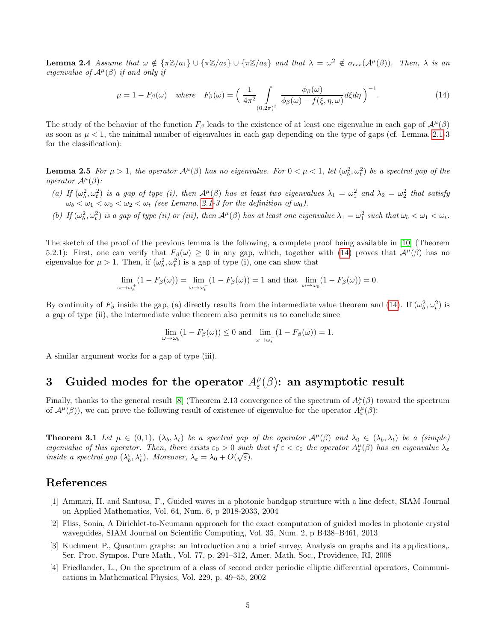**Lemma 2.4** Assume that  $\omega \notin {\pi \mathbb{Z}/a_1} \cup {\pi \mathbb{Z}/a_2} \cup {\pi \mathbb{Z}/a_3}$  and that  $\lambda = \omega^2 \notin \sigma_{ess}(\mathcal{A}^{\mu}(\beta))$ . Then,  $\lambda$  is an eigenvalue of  $A^{\mu}(\beta)$  if and only if

<span id="page-4-6"></span>
$$
\mu = 1 - F_{\beta}(\omega) \quad \text{where} \quad F_{\beta}(\omega) = \left(\frac{1}{4\pi^2} \int\limits_{(0,2\pi)^2} \frac{\phi_{\beta}(\omega)}{\phi_{\beta}(\omega) - f(\xi,\eta,\omega)} d\xi d\eta\right)^{-1}.\tag{14}
$$

The study of the behavior of the function  $F_\beta$  leads to the existence of at least one eigenvalue in each gap of  $\mathcal{A}^\mu(\beta)$ as soon as  $\mu < 1$ , the minimal number of eigenvalues in each gap depending on the type of gaps (cf. Lemma. [2.1-](#page-2-0)3 for the classification):

<span id="page-4-3"></span>**Lemma 2.5** For  $\mu > 1$ , the operator  $\mathcal{A}^{\mu}(\beta)$  has no eigenvalue. For  $0 < \mu < 1$ , let  $(\omega_b^2, \omega_t^2)$  be a spectral gap of the operator  $A^{\mu}(\beta)$ :

- (a) If  $(\omega_b^2, \omega_t^2)$  is a gap of type (i), then  $\mathcal{A}^{\mu}(\beta)$  has at least two eigenvalues  $\lambda_1 = \omega_1^2$  and  $\lambda_2 = \omega_2^2$  that satisfy  $\omega_b < \omega_1 < \omega_0 < \omega_2 < \omega_t$  (see Lemma. [2.1-](#page-2-0)3 for the definition of  $\omega_0$ ).
- (b) If  $(\omega_b^2, \omega_t^2)$  is a gap of type (ii) or (iii), then  $\mathcal{A}^{\mu}(\beta)$  has at least one eigenvalue  $\lambda_1 = \omega_1^2$  such that  $\omega_b < \omega_1 < \omega_t$ .

The sketch of the proof of the previous lemma is the following, a complete proof being available in [\[10\]](#page-5-4) (Theorem 5.2.1): First, one can verify that  $F_\beta(\omega) \geq 0$  in any gap, which, together with [\(14\)](#page-4-6) proves that  $\mathcal{A}^\mu(\beta)$  has no eigenvalue for  $\mu > 1$ . Then, if  $(\omega_b^2, \omega_t^2)$  is a gap of type (i), one can show that

$$
\lim_{\omega \to \omega_b^+} (1 - F_\beta(\omega)) = \lim_{\omega \to \omega_t^-} (1 - F_\beta(\omega)) = 1
$$
 and that 
$$
\lim_{\omega \to \omega_0} (1 - F_\beta(\omega)) = 0.
$$

By continuity of  $F_\beta$  inside the gap, (a) directly results from the intermediate value theorem and [\(14\)](#page-4-6). If  $(\omega_b^2, \omega_t^2)$  is a gap of type (ii), the intermediate value theorem also permits us to conclude since

$$
\lim_{\omega \to \omega_b} (1 - F_{\beta}(\omega)) \le 0 \text{ and } \lim_{\omega \to \omega_b^-} (1 - F_{\beta}(\omega)) = 1.
$$

A similar argument works for a gap of type (iii).

# 3 Guided modes for the operator  $A^\mu_\varepsilon(\beta)$ : an asymptotic result

<span id="page-4-4"></span>Finally, thanks to the general result [\[8\]](#page-5-5) (Theorem 2.13 convergence of the spectrum of  $A_{\varepsilon}^{\mu}(\beta)$  toward the spectrum of  $\mathcal{A}^{\mu}(\beta)$ , we can prove the following result of existence of eigenvalue for the operator  $A_{\varepsilon}^{\mu}(\beta)$ :

**Theorem 3.1** Let  $\mu \in (0,1)$ ,  $(\lambda_b, \lambda_t)$  be a spectral gap of the operator  $\mathcal{A}^{\mu}(\beta)$  and  $\lambda_0 \in (\lambda_b, \lambda_t)$  be a (simple) eigenvalue of this operator. Then, there exists  $\varepsilon_0 > 0$  such that if  $\varepsilon < \varepsilon_0$  the operator  $A^{\mu}_{\varepsilon}(\beta)$  has an eigenvalue  $\lambda_{\varepsilon}$ inside a spectral gap  $(\lambda_b^{\varepsilon}, \lambda_t^{\varepsilon})$ . Moreover,  $\lambda_{\varepsilon} = \lambda_0 + O(\sqrt{\varepsilon})$ .

#### References

- <span id="page-4-0"></span>[1] Ammari, H. and Santosa, F., Guided waves in a photonic bandgap structure with a line defect, SIAM Journal on Applied Mathematics, Vol. 64, Num. 6, p 2018-2033, 2004
- <span id="page-4-1"></span>[2] Fliss, Sonia, A Dirichlet-to-Neumann approach for the exact computation of guided modes in photonic crystal waveguides, SIAM Journal on Scientific Computing, Vol. 35, Num. 2, p B438–B461, 2013
- <span id="page-4-5"></span>[3] Kuchment P., Quantum graphs: an introduction and a brief survey, Analysis on graphs and its applications,. Ser. Proc. Sympos. Pure Math., Vol. 77, p. 291–312, Amer. Math. Soc., Providence, RI, 2008
- <span id="page-4-2"></span>[4] Friedlander, L., On the spectrum of a class of second order periodic elliptic differential operators, Communications in Mathematical Physics, Vol. 229, p. 49–55, 2002